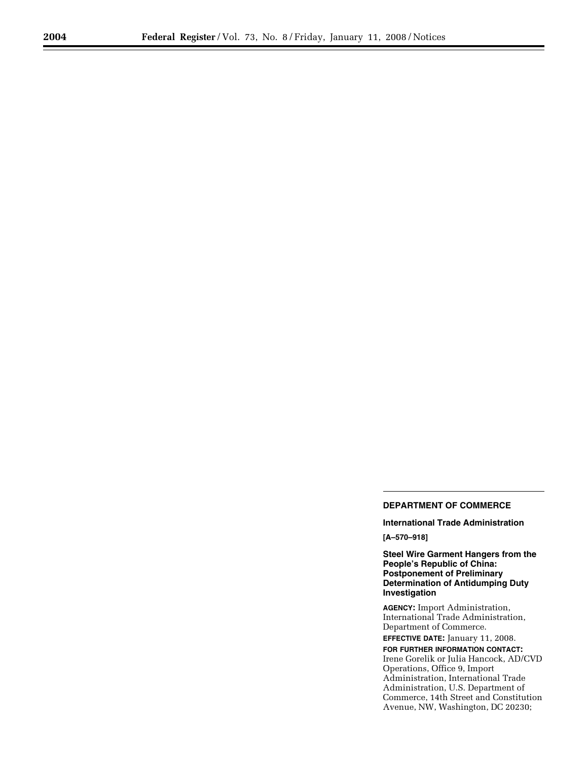## **DEPARTMENT OF COMMERCE**

**International Trade Administration [A–570–918]** 

**Steel Wire Garment Hangers from the People's Republic of China: Postponement of Preliminary Determination of Antidumping Duty Investigation** 

**AGENCY:** Import Administration, International Trade Administration, Department of Commerce.

**EFFECTIVE DATE:** January 11, 2008. **FOR FURTHER INFORMATION CONTACT:**  Irene Gorelik or Julia Hancock, AD/CVD Operations, Office 9, Import Administration, International Trade Administration, U.S. Department of Commerce, 14th Street and Constitution Avenue, NW, Washington, DC 20230;